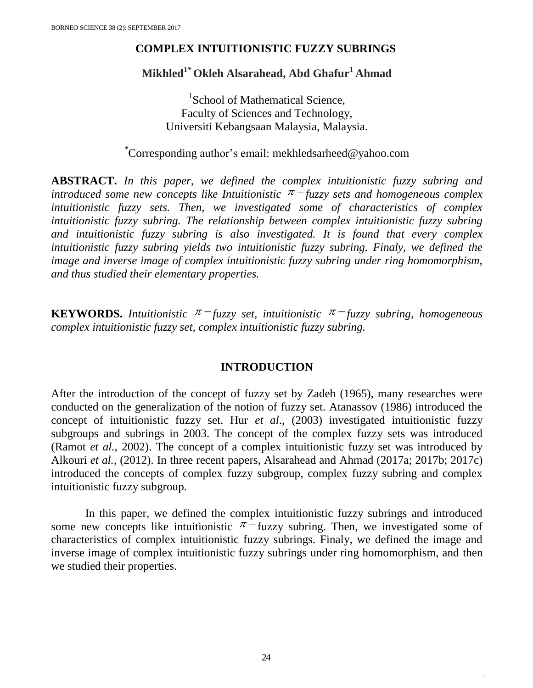### **COMPLEX INTUITIONISTIC FUZZY SUBRINGS**

# **Mikhled<sup>1</sup>***\** **Okleh Alsarahead, Abd Ghafur<sup>1</sup> Ahmad**

<sup>1</sup>School of Mathematical Science, Faculty of Sciences and Technology, Universiti Kebangsaan Malaysia, Malaysia.

## *\**Corresponding author's email: mekhledsarheed@yahoo.com

**ABSTRACT.** *In this paper, we defined the complex intuitionistic fuzzy subring and*  introduced some new concepts like Intuitionistic  $\pi$ <sup>-</sup>fuzzy sets and homogeneous complex *intuitionistic fuzzy sets. Then, we investigated some of characteristics of complex intuitionistic fuzzy subring. The relationship between complex intuitionistic fuzzy subring and intuitionistic fuzzy subring is also investigated. It is found that every complex intuitionistic fuzzy subring yields two intuitionistic fuzzy subring. Finaly, we defined the image and inverse image of complex intuitionistic fuzzy subring under ring homomorphism, and thus studied their elementary properties.*

**KEYWORDS.** Intuitionistic  $\pi$  -fuzzy set, intuitionistic  $\pi$  -fuzzy subring, homogeneous *complex intuitionistic fuzzy set, complex intuitionistic fuzzy subring.*

#### **INTRODUCTION**

After the introduction of the concept of fuzzy set by Zadeh (1965), many researches were conducted on the generalization of the notion of fuzzy set. Atanassov (1986) introduced the concept of intuitionistic fuzzy set. Hur *et al*., (2003) investigated intuitionistic fuzzy subgroups and subrings in 2003. The concept of the complex fuzzy sets was introduced (Ramot *et al.*, 2002). The concept of a complex intuitionistic fuzzy set was introduced by Alkouri *et al.,* (2012). In three recent papers, Alsarahead and Ahmad (2017a; 2017b; 2017c) introduced the concepts of complex fuzzy subgroup, complex fuzzy subring and complex intuitionistic fuzzy subgroup.

In this paper, we defined the complex intuitionistic fuzzy subrings and introduced some new concepts like intuitionistic  $\pi$ -fuzzy subring. Then, we investigated some of characteristics of complex intuitionistic fuzzy subrings. Finaly, we defined the image and inverse image of complex intuitionistic fuzzy subrings under ring homomorphism, and then we studied their properties.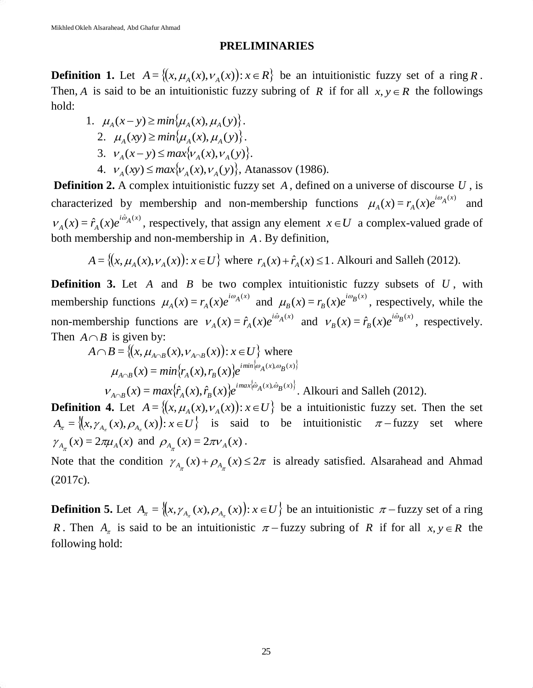#### **PRELIMINARIES**

**Definition 1.** Let  $A = \{(x, \mu_A(x), \nu_A(x)) : x \in R\}$  be an intuitionistic fuzzy set of a ring R. Then, A is said to be an intuitionistic fuzzy subring of R if for all  $x, y \in R$  the followings hold:

1. 
$$
\mu_A(x - y) \ge \min{\mu_A(x), \mu_A(y)}
$$
.  
\n2.  $\mu_A(xy) \ge \min{\mu_A(x), \mu_A(y)}$ .  
\n3.  $\nu_A(x - y) \le \max{\nu_A(x), \nu_A(y)}$ .  
\n4.  $\nu_A(xy) \le \max{\nu_A(x), \nu_A(y)}$ , Atanasov (1986).

**Definition 2.** A complex intuitionistic fuzzy set A, defined on a universe of discourse U, is characterized by membership and non-membership functions  $\mu_A(x) = r_A(x)e^{i\omega_A(x)}$  $\mu_A(x) = r_A(x)e^{i\omega}$ and  $f(x) = \hat{r}_A(x)e^{i\hat{\omega}_A(x)}$  $V_A(x) = \hat{r}_A(x)e^{i\omega_A(x)}$ , respectively, that assign any element  $x \in U$  a complex-valued grade of both membership and non-membership in *A* . By definition,

$$
A = \{(x, \mu_A(x), \nu_A(x)) : x \in U\}
$$
 where  $r_A(x) + \hat{r}_A(x) \le 1$ . Alkouri and Salleh (2012).

**Definition 3.** Let  $A$  and  $B$  be two complex intuitionistic fuzzy subsets of  $U$ , with membership functions  $\mu_A(x) = r_A(x)e^{i\omega_A(x)}$  $\mu_A(x) = r_A(x)e^{i\omega_A(x)}$  and  $\mu_B(x) = r_B(x)e^{i\omega_B(x)}$  $\mu_B(x) = r_B(x)e^{i\omega_B(x)}$ , respectively, while the non-membership functions are  $V_A(x) = \hat{r}_A(x)e^{i\hat{\omega}_A(x)}$  $V_A(x) = \hat{r}_A(x)e^{i\hat{\omega}_A(x)}$  and  $V_B(x) = \hat{r}_B(x)e^{i\hat{\omega}_B(x)}$  $V_B(x) = \hat{r}_B(x)e^{i\omega_B(x)}$ , respectively. Then  $A \cap B$  is given by:

$$
A \cap B = \{(x, \mu_{A \cap B}(x), \nu_{A \cap B}(x)) : x \in U\} \text{ where}
$$
  

$$
\mu_{A \cap B}(x) = min \{r_A(x), r_B(x)\} e^{imin[\omega_A(x), \omega_B(x)]}
$$
  

$$
\nu_{A \cap B}(x) = max \{\hat{r}_A(x), \hat{r}_B(x)\} e^{imax[\hat{\omega}_A(x), \hat{\omega}_B(x)]}.
$$
 Alkouri and Salleh (2012).

**Definition 4.** Let  $A = \{(x, \mu_A(x), \nu_A(x)) : x \in U\}$  be a intuitionistic fuzzy set. Then the set  $A_{\pi} = \{(x, \gamma_{A_{\pi}}(x), \rho_{A_{\pi}}(x)) : x \in U\}$  is said to be intuitionistic  $\pi$ -fuzzy set where  $\gamma_{A_{\pi}}(x) = 2\pi\mu_{A}(x)$  and  $\rho_{A_{\pi}}(x) = 2\pi\nu_{A}(x)$ .

Note that the condition  $\gamma_{A_{\pi}}(x) + \rho_{A_{\pi}}(x) \leq 2\pi$  is already satisfied. Alsarahead and Ahmad (2017c).

**Definition 5.** Let  $A_{\pi} = \{(x, \gamma_{A_{\pi}}(x), \rho_{A_{\pi}}(x)) : x \in U\}$  be an intuitionistic  $\pi$ -fuzzy set of a ring *R*. Then  $A_{\pi}$  is said to be an intuitionistic  $\pi$ -fuzzy subring of *R* if for all  $x, y \in R$  the following hold: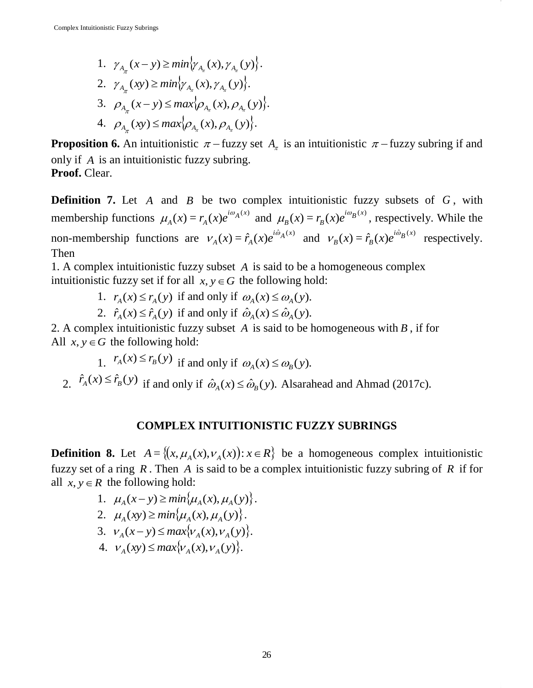π

1.  $\gamma_{A_{\pi}}(x-y) \ge \min \{ \gamma_{A_{\pi}}(x), \gamma_{A_{\pi}}(y) \}.$  $\pi$   $\pi$ 2.  $\gamma_{A_{\pi}}(xy) \ge \min \{ \gamma_{A_{\pi}}(x), \gamma_{A_{\pi}}(y) \}.$ 3.  $\rho_{A_{\pi}}(x-y) \le \max{\rho_{A_{\pi}}(x), \rho_{A_{\pi}}(y)}.$  $\pi$   $\pi$ π 4.  $\rho_{A_{\pi}}(xy) \le \max{\rho_{A_{\pi}}(x), \rho_{A_{\pi}}(y)}$ .

**Proposition 6.** An intuitionistic  $\pi$  – fuzzy set  $A_{\pi}$  is an intuitionistic  $\pi$  – fuzzy subring if and only if *A* is an intuitionistic fuzzy subring. **Proof.** Clear.

**Definition 7.** Let A and B be two complex intuitionistic fuzzy subsets of G, with membership functions  $\mu_A(x) = r_A(x)e^{i\omega_A(x)}$  $\mu_A(x) = r_A(x)e^{i\omega_A(x)}$  and  $\mu_B(x) = r_B(x)e^{i\omega_B(x)}$  $\mu_B(x) = r_B(x)e^{i\omega_B(x)}$ , respectively. While the non-membership functions are  $v_A(x) = \hat{r}_A(x)e^{i\hat{\omega}_A(x)}$  $V_A(x) = \hat{r}_A(x)e^{i\hat{\omega}_A(x)}$  and  $V_B(x) = \hat{r}_B(x)e^{i\hat{\omega}_B(x)}$  $V_B(x) = \hat{r}_B(x)e^{i\omega_B(x)}$  respectively. Then

1. A complex intuitionistic fuzzy subset *A* is said to be a homogeneous complex intuitionistic fuzzy set if for all  $x, y \in G$  the following hold:

- 1.  $r_A(x) \le r_A(y)$  if and only if  $\omega_A(x) \le \omega_A(y)$ .
- 2.  $\hat{r}_A(x) \leq \hat{r}_A(y)$  if and only if  $\hat{\omega}_A(x) \leq \hat{\omega}_A(y)$ .

2. A complex intuitionistic fuzzy subset *A* is said to be homogeneous with *B* , if for All  $x, y \in G$  the following hold:

- 1.  $r_A(x) \le r_B(y)$  if and only if  $\omega_A(x) \le \omega_B(y)$ .
- 2.  $\hat{r}_A(x) \leq \hat{r}_B(y)$  if and only if  $\hat{\omega}_A(x) \leq \hat{\omega}_B(y)$ . Alsarahead and Ahmad (2017c).

#### **COMPLEX INTUITIONISTIC FUZZY SUBRINGS**

**Definition 8.** Let  $A = \{(x, \mu_A(x), \nu_A(x)) : x \in R\}$  be a homogeneous complex intuitionistic fuzzy set of a ring  $R$ . Then  $A$  is said to be a complex intuitionistic fuzzy subring of  $R$  if for all  $x, y \in R$  the following hold:

- 1.  $\mu_A(x-y) \ge \min\{\mu_A(x), \mu_A(y)\}.$
- 2.  $\mu_A(xy) \ge \min\{\mu_A(x), \mu_A(y)\}.$
- 3.  $v_A(x-y) \le max\{v_A(x), v_A(y)\}.$ 
	- 4.  $v_A(xy) \le max\{v_A(x), v_A(y)\}.$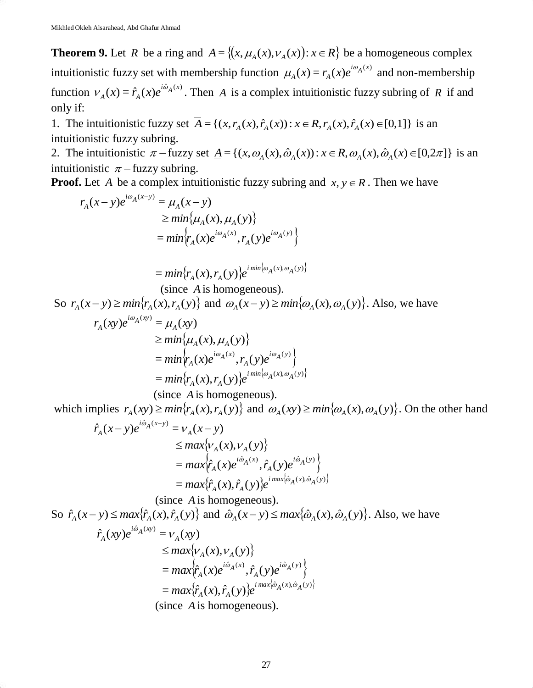**Theorem 9.** Let *R* be a ring and  $A = \{(x, \mu_A(x), \nu_A(x)) : x \in R\}$  be a homogeneous complex intuitionistic fuzzy set with membership function  $\mu_A(x) = r_A(x)e^{i\omega_A(x)}$  $\mu_A(x) = r_A(x)e^{i\omega_A(x)}$  and non-membership function  $V_A(x) = \hat{r}_A(x)e^{i\hat{\omega}_A(x)}$  $V_A(x) = \hat{r}_A(x)e^{i\omega_A(x)}$ . Then A is a complex intuitionistic fuzzy subring of R if and only if:

1. The intuitionistic fuzzy set  $A = \{(x, r_A(x), \hat{r}_A(x)) : x \in R, r_A(x), \hat{r}_A(x) \in [0,1]\}$  is an intuitionistic fuzzy subring.

2. The intuitionistic  $\pi$  - fuzzy set  $\underline{A} = \{(x, \omega_A(x), \hat{\omega}_A(x)) : x \in R, \omega_A(x), \hat{\omega}_A(x) \in [0, 2\pi] \}$  is an intuitionistic  $\pi$  – fuzzy subring.

**Proof.** Let A be a complex intuitionistic fuzzy subring and  $x, y \in R$ . Then we have

$$
r_A(x - y)e^{i\omega_A(x - y)} = \mu_A(x - y)
$$
  
\n
$$
\geq min{\mu_A(x), \mu_A(y)}
$$
  
\n
$$
= min[r_A(x)e^{i\omega_A(x)}, r_A(y)e^{i\omega_A(y)}]
$$

$$
= min\{r_A(x), r_A(y)\}e^{imin\{\omega_A(x), \omega_A(y)\}}
$$
  
(since A is homogeneous)

(since *A* is homogeneous).

So  $r_A(x-y) \ge \min\{r_A(x), r_A(y)\}\$  and  $\omega_A(x-y) \ge \min\{\omega_A(x), \omega_A(y)\}\)$ . Also, we have

$$
r_A(xy)e^{i\omega_A(xy)} = \mu_A(xy)
$$
  
\n
$$
\geq min\{\mu_A(x), \mu_A(y)\}
$$
  
\n
$$
= min\{r_A(x)e^{i\omega_A(x)}, r_A(y)e^{i\omega_A(y)}\}
$$
  
\n
$$
= min\{r_A(x), r_A(y)\}e^{i\min\{\omega_A(x), \omega_A(y)\}}
$$

(since *A* is homogeneous).

which implies  $r_A(xy) \ge \min\{r_A(x), r_A(y)\}$  and  $\omega_A(xy) \ge \min\{\omega_A(x), \omega_A(y)\}$ . On the other hand

$$
\hat{r}_A(x-y)e^{i\hat{\omega}_A(x-y)} = v_A(x-y)
$$
\n
$$
\leq max\{v_A(x), v_A(y)\}
$$
\n
$$
= max\{\hat{r}_A(x)e^{i\hat{\omega}_A(x)}, \hat{r}_A(y)e^{i\hat{\omega}_A(y)}\}
$$
\n
$$
= max\{\hat{r}_A(x), \hat{r}_A(y)\}e^{i\max\{\hat{\omega}_A(x), \hat{\omega}_A(y)\}}
$$

(since *A* is homogeneous). So  $\hat{r}_A(x-y) \le \max{\{\hat{r}_A(x), \hat{r}_A(y)\}}$  and  $\hat{\omega}_A(x-y) \le \max{\{\hat{\omega}_A(x), \hat{\omega}_A(y)\}}$ . Also, we have  $\hat{r}_A^2(xy)e^{i\hat{\omega}_A(xy)} = v_A(xy)$  $\leq$  *max*{ $V_A(x)$ ,  $V_A(y)$ }  $= max \left\{ \hat{r}_A(x) e^{i\hat{\omega}_A(x)}, \hat{r}_A(y) e^{i\hat{\omega}_A(y)} \right\}.$ *A*  $max \{ \hat{r}_A(x)e^{i\hat{\omega}_A(x)}, \hat{r}_A(y)e^{i\hat{\omega}_A(x)} \}$  $= max\{\hat{r}_A(x), \hat{r}_A(y)\}e^{i max\{\hat{\omega}_A(x), \hat{\omega}_A(y)\}}$ (since *A* is homogeneous).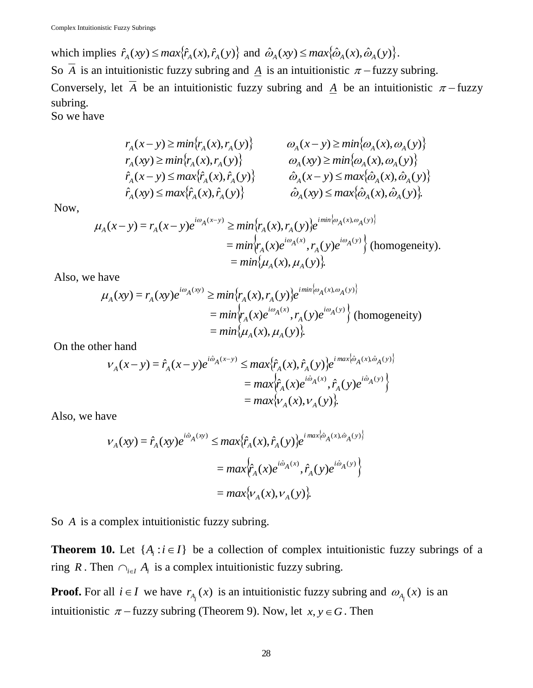which implies  $\hat{r}_A(xy) \le \max{\{\hat{r}_A(x), \hat{r}_A(y)\}}$  and  $\hat{\omega}_A(xy) \le \max{\{\hat{\omega}_A(x), \hat{\omega}_A(y)\}}$ . So A is an intuitionistic fuzzy subring and  $\underline{A}$  is an intuitionistic  $\pi$  – fuzzy subring. Conversely, let A be an intuitionistic fuzzy subring and  $\underline{A}$  be an intuitionistic  $\pi$ -fuzzy subring.

So we have

$$
r_A(x - y) \ge \min\{r_A(x), r_A(y)\} \qquad \omega_A(x - y) \ge \min\{\omega_A(x), \omega_A(y)\} \r_A(xy) \ge \min\{r_A(x), r_A(y)\} \qquad \omega_A(xy) \ge \min\{\omega_A(x), \omega_A(y)\} \r_A(x - y) \le \max\{\hat{r}_A(x), \hat{r}_A(y)\} \qquad \hat{\omega}_A(x - y) \le \max\{\hat{\omega}_A(x), \hat{\omega}_A(y)\} \r_A(xy) \le \max\{\hat{r}_A(x), \hat{r}_A(y)\} \qquad \hat{\omega}_A(xy) \le \max\{\hat{\omega}_A(x), \hat{\omega}_A(y)\}.
$$

Now,

$$
\mu_A(x - y) = r_A(x - y)e^{i\omega_A(x - y)} \ge \min\{r_A(x), r_A(y)\}e^{i\min\{\omega_A(x), \omega_A(y)\}}
$$
  
=  $\min\{r_A(x)e^{i\omega_A(x)}, r_A(y)e^{i\omega_A(y)}\}$  (homogeneity).  
=  $\min\{\mu_A(x), \mu_A(y)\}.$ 

Also, we have

$$
\mu_A(xy) = r_A(xy)e^{i\omega_A(xy)} \ge \min \{r_A(x), r_A(y)\}e^{i\min\{\omega_A(x), \omega_A(y)\}}
$$
  
=  $\min \{r_A(x)e^{i\omega_A(x)}, r_A(y)e^{i\omega_A(y)}\}$  (homogeneity)  
=  $\min \{ \mu_A(x), \mu_A(y) \}.$ 

On the other hand

$$
v_{A}(x-y) = \hat{r}_{A}(x-y)e^{i\hat{\omega}_{A}(x-y)} \leq max{\hat{r}_{A}(x), \hat{r}_{A}(y)}e^{i\max{\hat{\omega}_{A}(x), \hat{\omega}_{A}(y)}}
$$
  
= 
$$
max{\hat{r}_{A}(x)e^{i\hat{\omega}_{A}(x)}, \hat{r}_{A}(y)e^{i\hat{\omega}_{A}(y)}}
$$
  
= 
$$
max{\hat{v}_{A}(x), v_{A}(y)}.
$$

Also, we have

$$
\begin{aligned} \n\mathcal{V}_A(xy) &= \hat{r}_A(xy)e^{i\hat{\omega}_A(xy)} \le \max\{\hat{r}_A(x), \hat{r}_A(y)\} e^{i\max\{\hat{\omega}_A(x), \hat{\omega}_A(y)\}} \\ \n&= \max\{\hat{r}_A(x)e^{i\hat{\omega}_A(x)}, \hat{r}_A(y)e^{i\hat{\omega}_A(y)}\} \\ \n&= \max\{\mathcal{V}_A(x), \mathcal{V}_A(y)\}. \n\end{aligned}
$$

So *A* is a complex intuitionistic fuzzy subring.

**Theorem 10.** Let  $\{A_i : i \in I\}$  be a collection of complex intuitionistic fuzzy subrings of a ring R. Then  $\bigcap_{i \in I} A_i$  is a complex intuitionistic fuzzy subring.

**Proof.** For all  $i \in I$  we have  $r_{A_i}(x)$  is an intuitionistic fuzzy subring and  $\omega_{A_i}(x)$  is an intuitionistic  $\pi$  – fuzzy subring (Theorem 9). Now, let  $x, y \in G$ . Then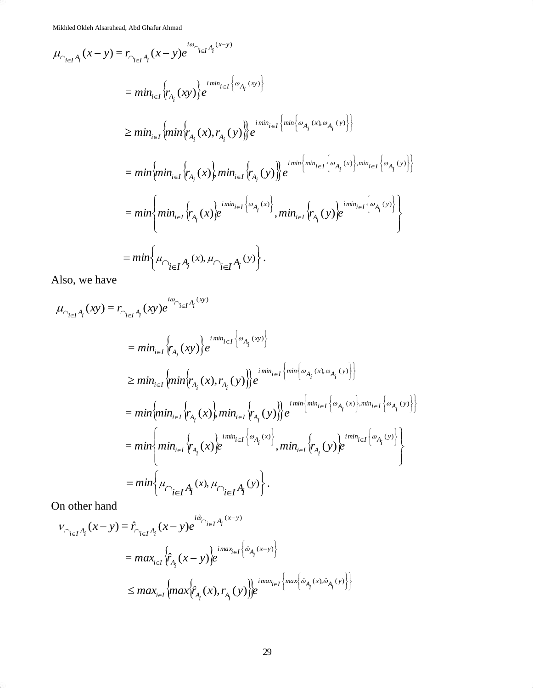Mikhled Okleh Alsarahead, Abd Ghafur Ahmad

$$
\mu_{\bigcap_{i \in I} A_i}(x - y) = r_{\bigcap_{i \in I} A_i}(x - y)e^{i\omega_{\bigcap_{i \in I} A_i}(x - y)}\n= min_{i \in I} \{r_{A_i}(xy)\}e^{i\min_{i \in I} \{ \omega_{A_i}(xy) \}}
$$
\n
$$
\geq min_{i \in I} \{min \{r_{A_i}(x), r_{A_i}(y)\}e^{i\min_{i \in I} \{ \min \{\omega_{A_i}(x), \omega_{A_i}(y)\} \}}
$$
\n
$$
= min \{min_{i \in I} \{r_{A_i}(x)\}min_{i \in I} \{r_{A_i}(y)\}e^{i\min_{i \in I} \{ \omega_{A_i}(x)\}min_{i \in I} \{ \omega_{A_i}(x)\}min_{i \in I} \{ \omega_{A_i}(y)\} }\}
$$
\n
$$
= min \{min_{i \in I} \{r_{A_i}(x)e^{i\min_{i \in I} \{ \omega_{A_i}(x)\} }, min_{i \in I} \{r_{A_i}(y)e^{i\min_{i \in I} \{ \omega_{A_i}(y)\} }\}
$$
\n
$$
= min \{ \mu_{\bigcap_{i \in I} A_i}(x), \mu_{\bigcap_{i \in I} A_i}(y) \}.
$$

Also, we have

$$
\mu_{\bigcap_{i \in I} A_i}(xy) = r_{\bigcap_{i \in I} A_i}(xy)e^{i\omega_{\bigcap_{i \in I} A_i}(xy)} \\
= \min_{i \in I} \{r_{A_i}(xy)\}e^{i\min_{i \in I} \{\omega_{A_i}(xy)\}} \\
\geq \min_{i \in I} \{\min \{r_{A_i}(x), r_{A_i}(y)\}e^{i\min_{i \in I} \{\min \{\omega_{A_i}(x), \omega_{A_i}(y)\}\}} \\
= \min \{ \min \{r_{A_i}(x)\}e^{i\min_{i \in I} \{\omega_{A_i}(x), \omega_{A_i}(y)\}e^{i\min \{\min_{i \in I} \{\omega_{A_i}(x)\}, \min_{i \in I} \{\omega_{A_i}(y)\}\}} \\
= \min \{ \min \{ \min_{i \in I} \{r_{A_i}(x)\}e^{i\min_{i \in I} \{\omega_{A_i}(x)\}}, \min_{i \in I} \{r_{A_i}(y)\}e^{i\min_{i \in I} \{\omega_{A_i}(y)\}\}} \\
= \min \{ \mu_{\bigcap_{i \in I} A_i}(x), \mu_{\bigcap_{i \in I} A_i}(y)\}.
$$

On other hand

$$
V_{\bigcap_{i \in I} A_i}(x - y) = \hat{r}_{\bigcap_{i \in I} A_i}(x - y)e^{i\hat{\omega}_{\bigcap_{i \in I} A_i}(x - y)} \\
= max_{i \in I} \{\hat{r}_{A_i}(x - y)\}e^{i\max_{i \in I} \{\hat{\omega}_{A_i}(x - y)\}} \\
\leq max_{i \in I} \{max_{i \in I} \{\max_{i \in I} \{\hat{r}_{A_i}(x), r_{A_i}(y)\}e^{i\max_{i \in I} \{\max_{i \in I} \{\hat{\omega}_{A_i}(x), \hat{\omega}_{A_i}(y)\} \}}\}
$$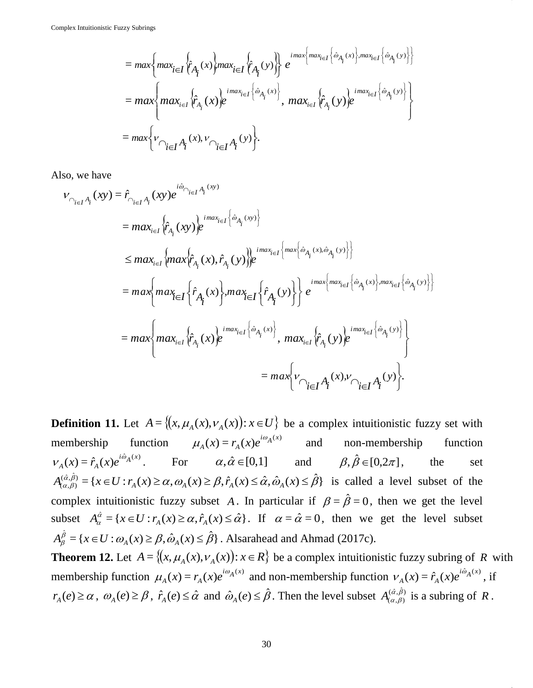$$
= max \left\{ max_{i \in I} \left\{ \hat{r}_{A_i}(x) \right\} max_{i \in I} \left\{ \hat{r}_{A_i}(y) \right\} \right\} e^{ i max \left\{ max_{i \in I} \left\{ \hat{\omega}_{A_i}(x) \right\} , max_{i \in I} \left\{ \hat{\omega}_{A_i}(y) \right\} \right\}} = max \left\{ max_{i \in I} \left\{ \hat{r}_{A_i}(x) \right\} e^{ i max_{i \in I} \left\{ \hat{\omega}_{A_i}(x) \right\}}, max_{i \in I} \left\{ \hat{r}_{A_i}(y) \right\} e^{ i max_{i \in I} \left\{ \hat{\omega}_{A_i}(y) \right\}} \right\} = max \left\{ v_{\bigcap_{i \in I} A_i}(x), v_{\bigcap_{i \in I} A_i}(y) \right\}.
$$

Also, we have

$$
v_{\gamma_{i\in I}A_i}(xy) = \hat{r}_{\gamma_{i\in I}A_i}(xy)e^{i\hat{\omega}_{\gamma_{i\in I}A_i}(xy)}
$$
  
\n
$$
= max_{i\in I} \{\hat{r}_{A_i}(xy)\}e^{i\max_{i\in I} \{\hat{\omega}_{A_i}(xy)\}}\}
$$
  
\n
$$
\leq max_{i\in I} \{max_{\hat{r}_{A_i}}(x), \hat{r}_{A_i}(y)\}e^{i\max_{\hat{r}_{A_i}}(x), \hat{\omega}_{A_i}(y), \hat{\omega}_{A_i}(y)\}}\}
$$
  
\n
$$
= max \{max_{i\in I} \{\hat{r}_{A_i}(x)\}max_{i\in I} \{\hat{r}_{A_i}(y)\}e^{i\max_{i\in I} \{\hat{\omega}_{A_i}(x), \hat{\omega}_{A_i}(y)\}}\}
$$
  
\n
$$
= max \{max_{i\in I} \{\hat{r}_{A_i}(x)\}e^{i\max_{i\in I} \{\hat{\omega}_{A_i}(x)\}}}, max_{i\in I} \{\hat{r}_{A_i}(y)\}e^{i\max_{i\in I} \{\hat{\omega}_{A_i}(y)\}}\}
$$
  
\n
$$
= max \{v_{\gamma_{i\in I}A_i}(x), v_{\gamma_{i\in I}A_i}(y)\}.
$$

**Definition 11.** Let  $A = \{(x, \mu_A(x), \nu_A(x)) : x \in U\}$  be a complex intuitionistic fuzzy set with membership  $(x) = r_A(x)e^{i\omega_A(x)}$  $\mu_A(x) = r_A(x)e^{i\omega_A(x)}$  and non-membership function  $f(x) = \hat{r}_A(x)e^{i\hat{\omega}_A(x)}$  $V_A(x) = \hat{r}_A(x)e^{i\hat{\omega}_A(x)}$ . For  $\alpha, \hat{\alpha} \in [0,1]$  and  $\beta, \hat{\beta} \in [0,2\pi]$ the set  $A_{(\alpha,\beta)}^{(\hat{\alpha},\hat{\beta})} = \{x \in U : r_A(x) \ge \alpha, \omega_A(x) \ge \beta, \hat{r}_A(x) \le \hat{\alpha}, \hat{\omega}_A(x) \le \hat{\beta}\}\$ is called a level subset of the complex intuitionistic fuzzy subset A. In particular if  $\beta = \hat{\beta} = 0$ , then we get the level subset  $A_{\alpha}^{\hat{\alpha}} = \{x \in U : r_A(x) \ge \alpha, \hat{r}_A(x) \le \hat{\alpha}\}\$ . If  $\alpha = \hat{\alpha} = 0$ , then we get the level subset  $A_{\beta}^{\hat{\beta}} = \{x \in U : \omega_A(x) \ge \beta, \hat{\omega}_A(x) \le \hat{\beta}\}\.$  Alsarahead and Ahmad (2017c).

**Theorem 12.** Let  $A = \{(x, \mu_A(x), v_A(x)) : x \in R\}$  be a complex intuitionistic fuzzy subring of R with membership function  $\mu_A(x) = r_A(x)e^{i\omega_A(x)}$  $\mu_A(x) = r_A(x)e^{i\omega_A(x)}$  and non-membership function  $v_A(x) = \hat{r}_A(x)e^{i\hat{\omega}_A(x)}$  $V_A(x) = \hat{r}_A(x)e^{i\omega_A(x)}$ , if  $r_A(e) \ge \alpha$ ,  $\omega_A(e) \ge \beta$ ,  $\hat{r}_A(e) \le \hat{\alpha}$  and  $\hat{\omega}_A(e) \le \hat{\beta}$ . Then the level subset  $A_{(\alpha,\beta)}^{(\hat{\alpha},\hat{\beta})}$  $A^{(\hat{\alpha},\beta)}_{(\alpha,\beta)}$  is a subring of R.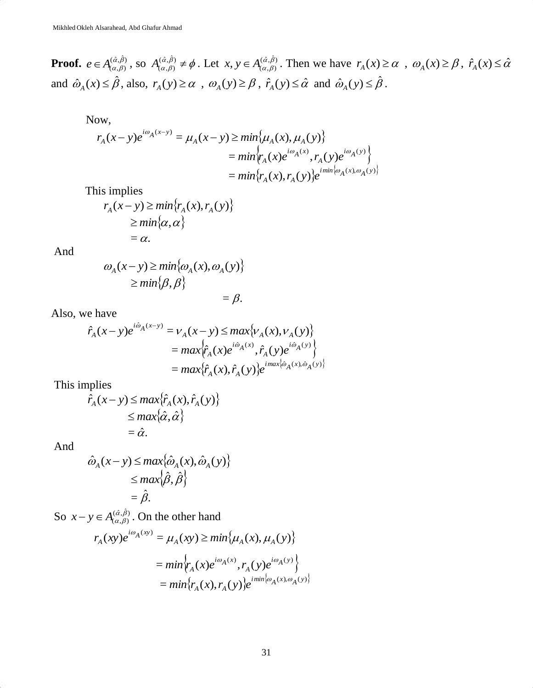**Proof.**  $e \in A_{(a,\beta)}^{(\hat{\alpha},\hat{\beta})}$  $e \in A_{(\alpha,\beta)}^{(\hat{\alpha},\hat{\beta})}$ , so  $A_{(\alpha,\beta)}^{(\hat{\alpha},\hat{\beta})} \neq \phi$ . Let  $x, y \in A_{(\alpha,\beta)}^{(\hat{\alpha},\hat{\beta})}$  $x, y \in A_{(\alpha,\beta)}^{(\hat{\alpha},\beta)}$ . Then we have  $r_A(x) \ge \alpha$ ,  $\omega_A(x) \ge \beta$ ,  $\hat{r}_A(x) \le \hat{\alpha}$ and  $\hat{\omega}_A(x) \leq \hat{\beta}$ , also,  $r_A(y) \geq \alpha$ ,  $\omega_A(y) \geq \beta$ ,  $\hat{r}_A(y) \leq \hat{\alpha}$  and  $\hat{\omega}_A(y) \leq \hat{\beta}$ .

Now,

$$
r_A(x - y)e^{i\omega_A(x - y)} = \mu_A(x - y) \ge \min\{\mu_A(x), \mu_A(y)\}
$$
  
=  $\min\{r_A(x)e^{i\omega_A(x)}, r_A(y)e^{i\omega_A(y)}\}$   
=  $\min\{r_A(x), r_A(y)\}e^{i\min\{\omega_A(x), \omega_A(y)\}}$ 

This implies

$$
r_A(x-y) \ge \min\{r_A(x), r_A(y)\}
$$
  
\n
$$
\ge \min\{\alpha, \alpha\}
$$
  
\n
$$
= \alpha.
$$

And

$$
\omega_{A}(x-y) \ge \min\{\omega_{A}(x), \omega_{A}(y)\}\
$$

$$
\ge \min\{\beta, \beta\}
$$

$$
=\beta.
$$

Also, we have

$$
\hat{r}_A(x-y)e^{i\hat{\omega}_A(x-y)} = v_A(x-y) \le max\{v_A(x), v_A(y)\}
$$
  
=  $max\{\hat{r}_A(x)e^{i\hat{\omega}_A(x)}, \hat{r}_A(y)e^{i\hat{\omega}_A(y)}\}$   
=  $max\{\hat{r}_A(x), \hat{r}_A(y)\}e^{i\max\{\hat{\omega}_A(x), \hat{\omega}_A(y)\}}$ 

This implies

$$
\hat{r}_A(x-y) \le \max{\{\hat{r}_A(x), \hat{r}_A(y)\}}
$$
  
\n
$$
\le \max{\{\hat{\alpha}, \hat{\alpha}\}}
$$
  
\n
$$
= \hat{\alpha}.
$$

And

$$
\hat{\omega}_A(x-y) \le \max\{\hat{\omega}_A(x), \hat{\omega}_A(y)\}
$$
  
\n
$$
\le \max\{\hat{\beta}, \hat{\beta}\}
$$
  
\n
$$
= \hat{\beta}.
$$

So  $x - y \in A_{\alpha, \beta}^{(\hat{\alpha}, \hat{\beta})}$  $x - y \in A_{(\alpha,\beta)}^{(\hat{\alpha},\beta)}$ . On the other hand

$$
r_A(xy)e^{i\omega_A(xy)} = \mu_A(xy) \ge \min\{\mu_A(x), \mu_A(y)\}
$$
  
=  $\min \{r_A(x)e^{i\omega_A(x)}, r_A(y)e^{i\omega_A(y)}\}$   
=  $\min\{r_A(x), r_A(y)\}e^{i\min\{\omega_A(x), \omega_A(y)\}}$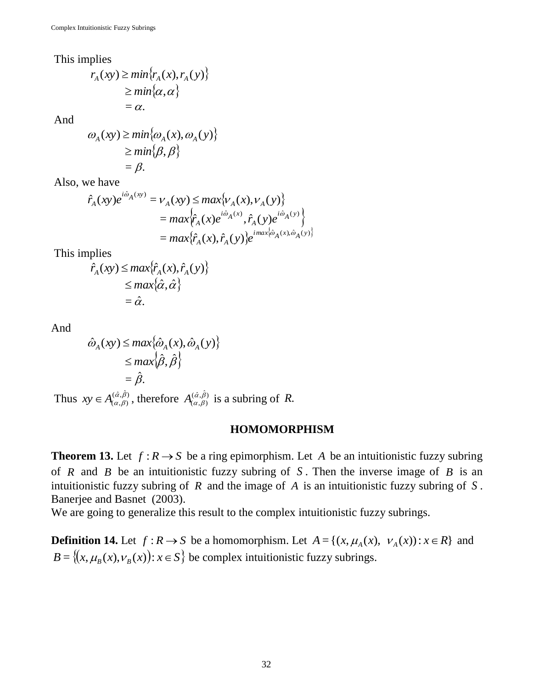This implies

$$
r_A(xy) \ge \min\{r_A(x), r_A(y)\}
$$
  
\n
$$
\ge \min\{\alpha, \alpha\}
$$
  
\n
$$
= \alpha.
$$

And

$$
\omega_{A}(xy) \ge \min\{\omega_{A}(x), \omega_{A}(y)\}
$$
  
\n
$$
\ge \min\{\beta, \beta\}
$$
  
\n
$$
= \beta.
$$

Also, we have

$$
\hat{r}_A(xy)e^{i\hat{\omega}_A(xy)} = v_A(xy) \le max\{v_A(x), v_A(y)\}
$$
  
=  $max\{\hat{r}_A(x)e^{i\hat{\omega}_A(x)}, \hat{r}_A(y)e^{i\hat{\omega}_A(y)}\}$   
=  $max\{\hat{r}_A(x), \hat{r}_A(y)\}e^{i\max\{\hat{\omega}_A(x), \hat{\omega}_A(y)\}}$ 

This implies

$$
\hat{r}_A(xy) \le \max{\{\hat{r}_A(x), \hat{r}_A(y)\}}
$$
  
\n
$$
\le \max{\{\hat{\alpha}, \hat{\alpha}\}}
$$
  
\n
$$
= \hat{\alpha}.
$$

And

$$
\hat{\omega}_A(xy) \le \max\{\hat{\omega}_A(x), \hat{\omega}_A(y)\}
$$
  
\n
$$
\le \max\{\hat{\beta}, \hat{\beta}\}
$$
  
\n
$$
= \hat{\beta}.
$$

Thus  $xy \in A_{\alpha,\beta}^{(\hat{\alpha},\hat{\beta})}$  $xy \in A_{(\alpha,\beta)}^{(\hat{\alpha},\hat{\beta})}$ , therefore  $A_{(\alpha,\beta)}^{(\hat{\alpha},\hat{\beta})}$  $A^{(\hat{\alpha},\beta)}_{(\alpha,\beta)}$  is a subring of R.

#### **HOMOMORPHISM**

**Theorem 13.** Let  $f: R \to S$  be a ring epimorphism. Let A be an intuitionistic fuzzy subring of  $R$  and  $B$  be an intuitionistic fuzzy subring of  $S$ . Then the inverse image of  $B$  is an intuitionistic fuzzy subring of  $R$  and the image of  $A$  is an intuitionistic fuzzy subring of  $S$ . Banerjee and Basnet (2003).

We are going to generalize this result to the complex intuitionistic fuzzy subrings.

**Definition 14.** Let  $f: R \to S$  be a homomorphism. Let  $A = \{(x, \mu_A(x), \nu_A(x)) : x \in R\}$  and  $B = \{(x, \mu_B(x), \nu_B(x)) : x \in S\}$  be complex intuitionistic fuzzy subrings.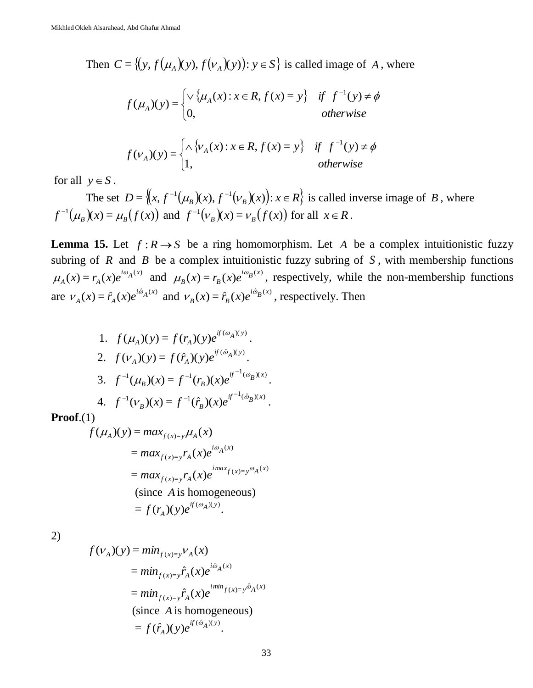Then  $C = \{(y, f(\mu_A)(y), f(\nu_A)(y)) : y \in S\}$  is called image of A, where

$$
f(\mu_A)(y) = \begin{cases} \vee \{ \mu_A(x) : x \in R, f(x) = y \} & \text{if } f^{-1}(y) \neq \phi \\ 0, & \text{otherwise} \end{cases}
$$

$$
f(v_A)(y) = \begin{cases} \wedge \{v_A(x) : x \in R, f(x) = y\} & \text{if } f^{-1}(y) \neq \phi \\ 1, & \text{otherwise} \end{cases}
$$

for all  $y \in S$ .

The set  $D = \{(x, f^{-1}(\mu_B)(x), f^{-1}(\nu_B)(x)): x \in R\}$  is called inverse image of B, where  $f^{-1}(\mu_B)(x) = \mu_B(f(x))$  and  $f^{-1}(\nu_B)(x) = \nu_B(f(x))$  for all  $x \in R$ .

**Lemma 15.** Let  $f: R \to S$  be a ring homomorphism. Let A be a complex intuitionistic fuzzy subring of  $R$  and  $B$  be a complex intuitionistic fuzzy subring of  $S$ , with membership functions  $f(x) = r_A(x)e^{i\omega_A(x)}$  $\mu_A(x) = r_A(x)e^{i\omega_A(x)}$  and  $\mu_B(x) = r_B(x)e^{i\omega_B(x)}$  $\mu_B(x) = r_B(x)e^{i\omega_B(x)}$ , respectively, while the non-membership functions are  $V_A(x) = \hat{r}_A(x)e^{i\hat{\omega}_A(x)}$  $V_A(x) = \hat{r}_A(x)e^{i\hat{\omega}_A(x)}$  and  $V_B(x) = \hat{r}_B(x)e^{i\hat{\omega}_B(x)}$  $V_B(x) = \hat{r}_B(x)e^{i\omega_B(x)}$ , respectively. Then

1. 
$$
f(\mu_A)(y) = f(r_A)(y)e^{if(\omega_A)(y)}
$$
.  
\n2.  $f(\nu_A)(y) = f(\hat{r}_A)(y)e^{if(\hat{\omega}_A)(y)}$ .  
\n3.  $f^{-1}(\mu_B)(x) = f^{-1}(r_B)(x)e^{if^{-1}(\omega_B)(x)}$ .  
\n4.  $f^{-1}(\nu_B)(x) = f^{-1}(\hat{r}_B)(x)e^{if^{-1}(\hat{\omega}_B)(x)}$ .

**Proof**.(1)

$$
f(\mu_A)(y) = max_{f(x)=y} \mu_A(x)
$$
  
= 
$$
max_{f(x)=y} r_A(x)e^{i\omega_A(x)}
$$
  
= 
$$
max_{f(x)=y} r_A(x)e^{i\max_{f(x)=y} \omega_A(x)}
$$
  
(since A is homogeneous)  
= 
$$
f(r_A)(y)e^{if(\omega_A)(y)}.
$$

2)

$$
f(v_A)(y) = min_{f(x)=y} v_A(x)
$$
  
=  $min_{f(x)=y} \hat{r}_A(x)e^{i\hat{\omega}_A(x)}$   
=  $min_{f(x)=y} \hat{r}_A(x)e^{i\min_{f(x)=y} \hat{\omega}_A(x)}$   
(since A is homogeneous)  
=  $f(\hat{r}_A)(y)e^{if(\hat{\omega}_A)(y)}$ .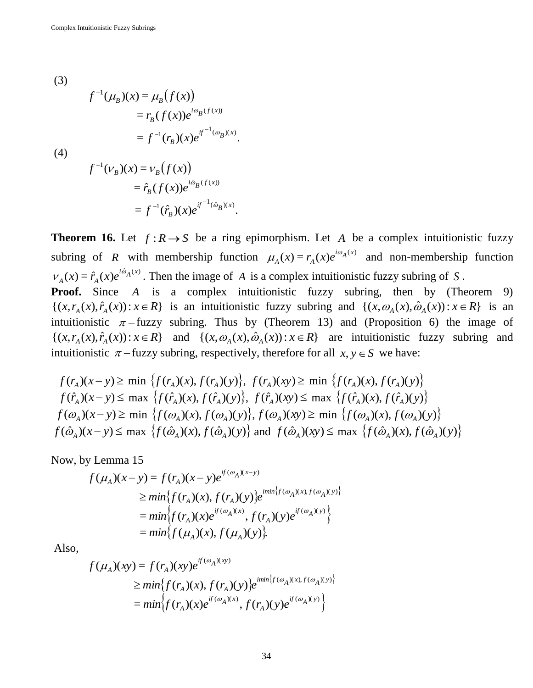(3)  
\n
$$
f^{-1}(\mu_B)(x) = \mu_B(f(x))
$$
\n
$$
= r_B(f(x))e^{i\omega_B(f(x))}
$$
\n
$$
= f^{-1}(r_B)(x)e^{if^{-1}(\omega_B)(x)}.
$$
\n(4)  
\n
$$
f^{-1}(\nu_B)(x) = \nu_B(f(x))
$$
\n
$$
= \hat{r}_B(f(x))e^{i\hat{\omega}_B(f(x))}
$$
\n
$$
= f^{-1}(\hat{r}_B)(x)e^{if^{-1}(\hat{\omega}_B)(x)}.
$$

**Theorem 16.** Let  $f: R \to S$  be a ring epimorphism. Let A be a complex intuitionistic fuzzy subring of *R* with membership function  $\mu_A(x) = r_A(x)e^{i\omega_A(x)}$  $\mu_A(x) = r_A(x)e^{i\omega_A(x)}$  and non-membership function  $f(x) = \hat{r}_A(x)e^{i\hat{\omega}_A(x)}$  $V_A(x) = \hat{r}_A(x)e^{i\omega_A(x)}$ . Then the image of A is a complex intuitionistic fuzzy subring of S. **Proof.** Since A is a complex intuitionistic fuzzy subring, then by (Theorem 9)  $\{(x, r_A(x), \hat{r}_A(x)) : x \in R\}$  is an intuitionistic fuzzy subring and  $\{(x, \omega_A(x), \hat{\omega}_A(x)) : x \in R\}$  is an intuitionistic  $\pi$ -fuzzy subring. Thus by (Theorem 13) and (Proposition 6) the image of  $\{(x, r_A(x), \hat{r}_A(x)) : x \in R\}$  and  $\{(x, \omega_A(x), \hat{\omega}_A(x)) : x \in R\}$  are intuitionistic fuzzy subring and

intuitionistic 
$$
\pi
$$
 – fuzzy subring, respectively, therefore for all  $x, y \in S$  we have:  
\n $f(r_A)(x-y) \ge \min \{f(r_A)(x), f(r_A)(y)\}, f(r_A)(xy) \ge \min \{f(r_A)(x), f(r_A)(y)\}$   
\n $f(\hat{r}_A)(x-y) \le \max \{f(\hat{r}_A)(x), f(\hat{r}_A)(y)\}, f(\hat{r}_A)(xy) \le \max \{f(\hat{r}_A)(x), f(\hat{r}_A)(y)\}$ 

$$
f(\omega_A)(x-y) \ge \min \left\{ f(\omega_A)(x), f(\omega_A)(y) \right\}, f(\omega_A)(xy) \ge \min \left\{ f(\omega_A)(x), f(\omega_A)(y) \right\}
$$
  

$$
f(\hat{\omega}_A)(x-y) \le \max \left\{ f(\hat{\omega}_A)(x), f(\hat{\omega}_A)(y) \right\} \text{ and } f(\hat{\omega}_A)(xy) \le \max \left\{ f(\hat{\omega}_A)(x), f(\hat{\omega}_A)(y) \right\}
$$

Now, by Lemma 15

$$
f(\mu_A)(x - y) = f(r_A)(x - y)e^{if(\omega_A)(x - y)} \\
\geq min\{f(r_A)(x), f(r_A)(y)\}e^{imin\{f(\omega_A)(x), f(\omega_A)(y)\}}
$$
\n
$$
= min\{f(r_A)(x)e^{if(\omega_A)(x)}, f(r_A)(y)e^{if(\omega_A)(y)}\}
$$
\n
$$
= min\{f(\mu_A)(x), f(\mu_A)(y)\}.
$$

Also,

$$
f(\mu_A)(xy) = f(r_A)(xy)e^{if(\omega_A)(xy)}
$$
  
\n
$$
\geq min\{f(r_A)(x), f(r_A)(y)\}e^{imin\{f(\omega_A)(x), f(\omega_A)(y)\}}
$$
  
\n
$$
= min\{f(r_A)(x)e^{if(\omega_A)(x)}, f(r_A)(y)e^{if(\omega_A)(y)}\}
$$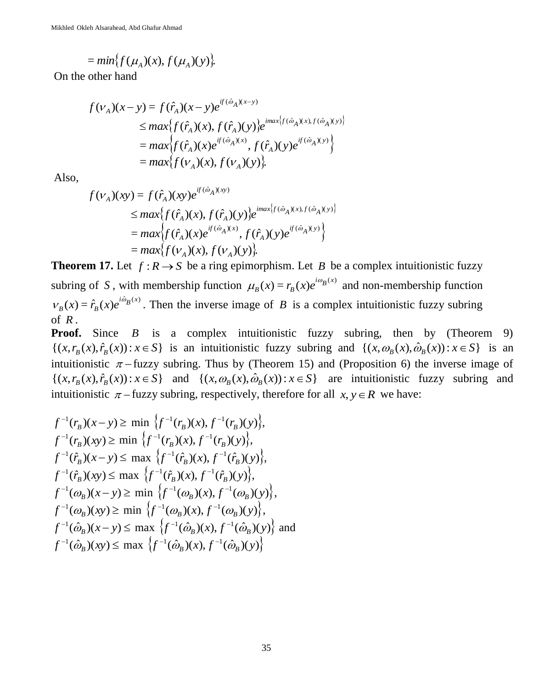$$
= min\{f(\mu_A)(x), f(\mu_A)(y)\}.
$$

On the other hand

$$
f(\nu_A)(x - y) = f(\hat{r}_A)(x - y)e^{i f(\hat{\omega}_A)(x - y)} \n\leq max\{f(\hat{r}_A)(x), f(\hat{r}_A)(y)\}e^{i max\{f(\hat{\omega}_A)(x), f(\hat{\omega}_A)(y)\}}
$$
\n
$$
= max\{f(\hat{r}_A)(x)e^{i f(\hat{\omega}_A)(x)}, f(\hat{r}_A)(y)e^{i f(\hat{\omega}_A)(y)}\}
$$
\n
$$
= max\{f(\nu_A)(x), f(\nu_A)(y)\}.
$$

Also,

$$
f(v_A)(xy) = f(\hat{r}_A)(xy)e^{if(\hat{\omega}_A)(xy)}
$$
  
\n
$$
\leq max\{f(\hat{r}_A)(x), f(\hat{r}_A)(y)\}e^{imax\{f(\hat{\omega}_A)(x), f(\hat{\omega}_A)(y)\}}
$$
  
\n
$$
= max\{f(\hat{r}_A)(x)e^{if(\hat{\omega}_A)(x)}, f(\hat{r}_A)(y)e^{if(\hat{\omega}_A)(y)}\}
$$
  
\n
$$
= max\{f(v_A)(x), f(v_A)(y)\}.
$$

**Theorem 17.** Let  $f: R \to S$  be a ring epimorphism. Let B be a complex intuitionistic fuzzy subring of S, with membership function  $\mu_B(x) = r_B(x)e^{i\omega_B(x)}$  $\mu_B(x) = r_B(x)e^{i\omega_B(x)}$  and non-membership function  $f(x) = \hat{r}_B(x)e^{i\hat{\omega}_B(x)}$  $V_B(x) = \hat{r}_B(x)e^{i\omega_B(x)}$ . Then the inverse image of *B* is a complex intuitionistic fuzzy subring of *R* .

**Proof.** Since *B* is a complex intuitionistic fuzzy subring, then by (Theorem 9)  $\{(x, r_B(x), \hat{r}_B(x)) : x \in S\}$  is an intuitionistic fuzzy subring and  $\{(x, \omega_B(x), \hat{\omega}_B(x)) : x \in S\}$  is an intuitionistic  $\pi$ -fuzzy subring. Thus by (Theorem 15) and (Proposition 6) the inverse image of  $\{(x, r_B(x), \hat{r}_B(x)) : x \in S\}$  and  $\{(x, \omega_B(x), \hat{\omega}_B(x)) : x \in S\}$  are intuitionistic fuzzy subring and intuitionistic  $\pi$  – fuzzy subring, respectively, therefore for all  $x, y \in R$  we have:

$$
f^{-1}(r_B)(x - y) \ge \min \{ f^{-1}(r_B)(x), f^{-1}(r_B)(y) \},
$$
  
\n
$$
f^{-1}(r_B)(xy) \ge \min \{ f^{-1}(r_B)(x), f^{-1}(r_B)(y) \},
$$
  
\n
$$
f^{-1}(\hat{r}_B)(x - y) \le \max \{ f^{-1}(\hat{r}_B)(x), f^{-1}(\hat{r}_B)(y) \},
$$
  
\n
$$
f^{-1}(\hat{r}_B)(xy) \le \max \{ f^{-1}(\hat{r}_B)(x), f^{-1}(\hat{r}_B)(y) \},
$$
  
\n
$$
f^{-1}(\omega_B)(x - y) \ge \min \{ f^{-1}(\omega_B)(x), f^{-1}(\omega_B)(y) \},
$$
  
\n
$$
f^{-1}(\omega_B)(xy) \ge \min \{ f^{-1}(\omega_B)(x), f^{-1}(\omega_B)(y) \},
$$
  
\n
$$
f^{-1}(\hat{\omega}_B)(x - y) \le \max \{ f^{-1}(\hat{\omega}_B)(x), f^{-1}(\hat{\omega}_B)(y) \} \text{ and }
$$
  
\n
$$
f^{-1}(\hat{\omega}_B)(xy) \le \max \{ f^{-1}(\hat{\omega}_B)(x), f^{-1}(\hat{\omega}_B)(y) \}
$$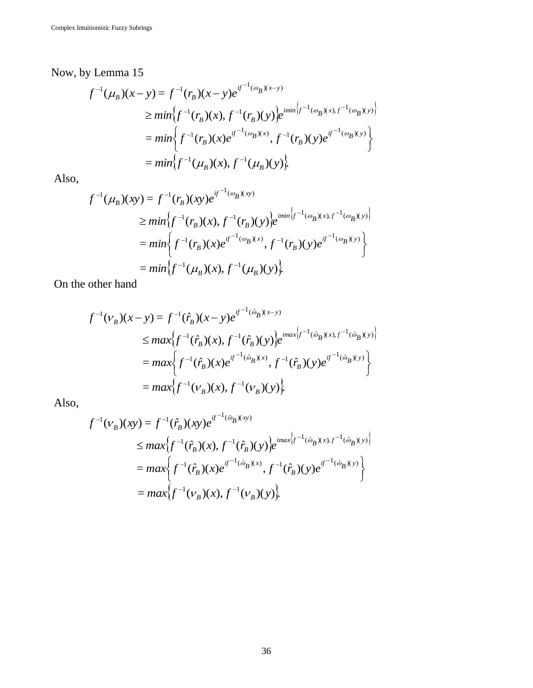Now, by Lemma 15

$$
f^{-1}(\mu_B)(x - y) = f^{-1}(r_B)(x - y)e^{if^{-1}(\omega_B)(x - y)}
$$
  
\n
$$
\geq min \{ f^{-1}(r_B)(x), f^{-1}(r_B)(y)\} e^{imin \{f^{-1}(\omega_B)(x), f^{-1}(\omega_B)(y)\}}
$$
  
\n
$$
= min \{ f^{-1}(r_B)(x)e^{if^{-1}(\omega_B)(x)}, f^{-1}(r_B)(y)e^{if^{-1}(\omega_B)(y)} \}
$$
  
\n
$$
= min \{ f^{-1}(\mu_B)(x), f^{-1}(\mu_B)(y) \}.
$$

Also,

$$
f^{-1}(\mu_B)(xy) = f^{-1}(r_B)(xy)e^{if^{-1}(\omega_B)(xy)}
$$
  
\n
$$
\geq min \{f^{-1}(r_B)(x), f^{-1}(r_B)(y)\}e^{imin \{f^{-1}(\omega_B)(x), f^{-1}(\omega_B)(y)\}}
$$
  
\n
$$
= min \{f^{-1}(r_B)(x)e^{if^{-1}(\omega_B)(x)}, f^{-1}(r_B)(y)e^{if^{-1}(\omega_B)(y)}\}
$$
  
\n
$$
= min \{f^{-1}(\mu_B)(x), f^{-1}(\mu_B)(y)\}.
$$

On the other hand

$$
f^{-1}(v_B)(x - y) = f^{-1}(\hat{r}_B)(x - y)e^{if^{-1}(\hat{\omega}_B)(x - y)}
$$
  
\n
$$
\leq max\{f^{-1}(\hat{r}_B)(x), f^{-1}(\hat{r}_B)(y)\}e^{imax\{f^{-1}(\hat{\omega}_B)(x), f^{-1}(\hat{\omega}_B)(y)\}}
$$
  
\n
$$
= max\{f^{-1}(\hat{r}_B)(x)e^{if^{-1}(\hat{\omega}_B)(x)}, f^{-1}(\hat{r}_B)(y)e^{if^{-1}(\hat{\omega}_B)(y)}\}
$$
  
\n
$$
= max\{f^{-1}(v_B)(x), f^{-1}(v_B)(y)\}
$$

Also,

$$
f^{-1}(v_B)(xy) = f^{-1}(\hat{r}_B)(xy)e^{if^{-1}(\hat{\omega}_B)(xy)}
$$
  
\n
$$
\leq max\{f^{-1}(\hat{r}_B)(x), f^{-1}(\hat{r}_B)(y)\}e^{imax\{f^{-1}(\hat{\omega}_B)(x), f^{-1}(\hat{\omega}_B)(y)\}}
$$
  
\n
$$
= max\{f^{-1}(\hat{r}_B)(x)e^{if^{-1}(\hat{\omega}_B)(x)}, f^{-1}(\hat{r}_B)(y)e^{if^{-1}(\hat{\omega}_B)(y)}\}
$$
  
\n
$$
= max\{f^{-1}(v_B)(x), f^{-1}(v_B)(y)\}
$$